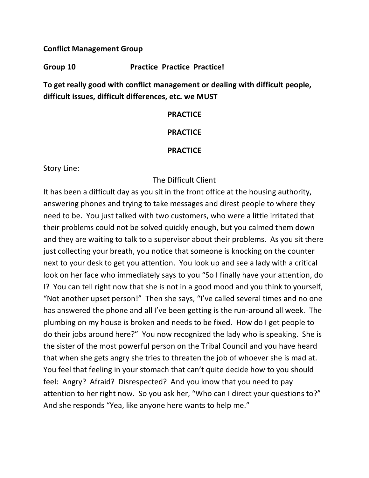## **Conflict Management Group**

## **Group 10 Practice Practice Practice!**

**To get really good with conflict management or dealing with difficult people, difficult issues, difficult differences, etc. we MUST** 

### **PRACTICE**

## **PRACTICE**

## **PRACTICE**

Story Line:

# The Difficult Client

It has been a difficult day as you sit in the front office at the housing authority, answering phones and trying to take messages and direst people to where they need to be. You just talked with two customers, who were a little irritated that their problems could not be solved quickly enough, but you calmed them down and they are waiting to talk to a supervisor about their problems. As you sit there just collecting your breath, you notice that someone is knocking on the counter next to your desk to get you attention. You look up and see a lady with a critical look on her face who immediately says to you "So I finally have your attention, do I? You can tell right now that she is not in a good mood and you think to yourself, "Not another upset person!" Then she says, "I've called several times and no one has answered the phone and all I've been getting is the run-around all week. The plumbing on my house is broken and needs to be fixed. How do I get people to do their jobs around here?" You now recognized the lady who is speaking. She is the sister of the most powerful person on the Tribal Council and you have heard that when she gets angry she tries to threaten the job of whoever she is mad at. You feel that feeling in your stomach that can't quite decide how to you should feel: Angry? Afraid? Disrespected? And you know that you need to pay attention to her right now. So you ask her, "Who can I direct your questions to?" And she responds "Yea, like anyone here wants to help me."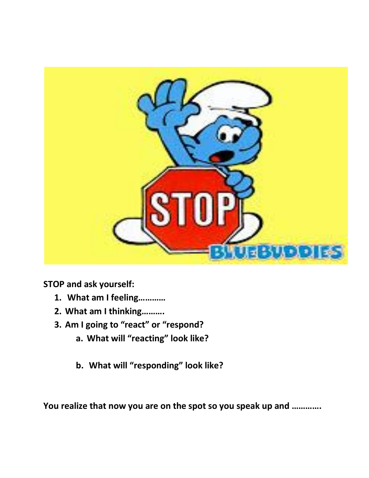

**STOP and ask yourself:**

- **1. What am I feeling…………**
- **2. What am I thinking……….**
- **3. Am I going to "react" or "respond?**
	- **a. What will "reacting" look like?**
	- **b. What will "responding" look like?**

**You realize that now you are on the spot so you speak up and ………….**